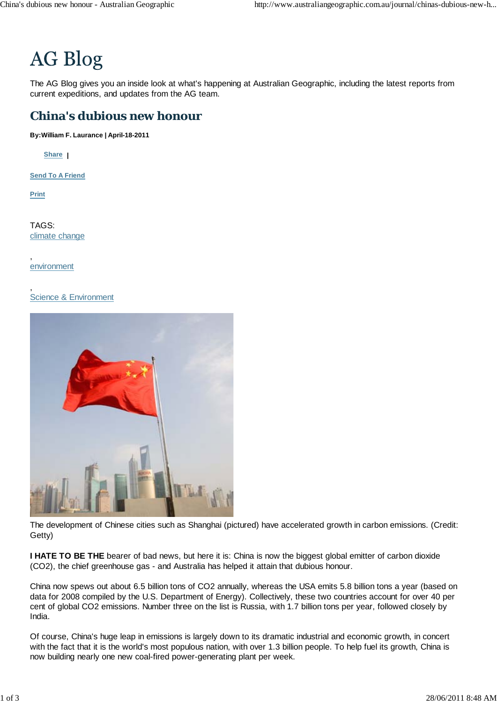# **AG Blog**

The AG Blog gives you an inside look at what's happening at Australian Geographic, including the latest reports from current expeditions, and updates from the AG team.

# **China's dubious new honour**

**By:William F. Laurance | April-18-2011**

**Share |**

**Send To A Friend**

**Print**

TAGS: climate change

, environment

#### , Science & Environment



The development of Chinese cities such as Shanghai (pictured) have accelerated growth in carbon emissions. (Credit: Getty)

**I HATE TO BE THE** bearer of bad news, but here it is: China is now the biggest global emitter of carbon dioxide (CO2), the chief greenhouse gas - and Australia has helped it attain that dubious honour.

China now spews out about 6.5 billion tons of CO2 annually, whereas the USA emits 5.8 billion tons a year (based on data for 2008 compiled by the U.S. Department of Energy). Collectively, these two countries account for over 40 per cent of global CO2 emissions. Number three on the list is Russia, with 1.7 billion tons per year, followed closely by India.

Of course, China's huge leap in emissions is largely down to its dramatic industrial and economic growth, in concert with the fact that it is the world's most populous nation, with over 1.3 billion people. To help fuel its growth, China is now building nearly one new coal-fired power-generating plant per week.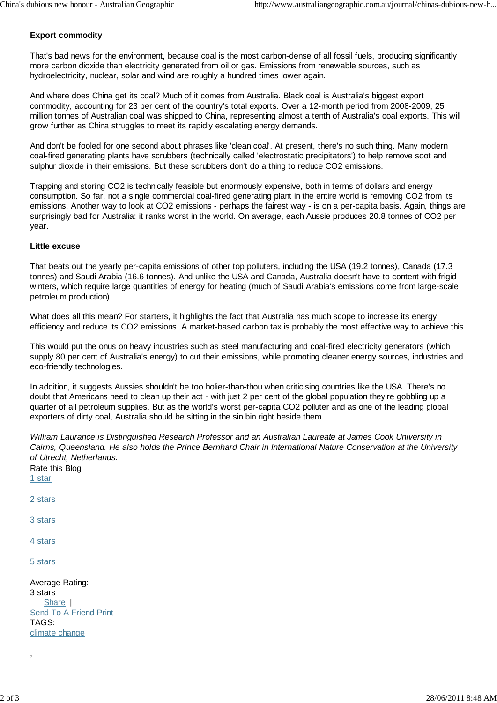# **Export commodity**

That's bad news for the environment, because coal is the most carbon-dense of all fossil fuels, producing significantly more carbon dioxide than electricity generated from oil or gas. Emissions from renewable sources, such as hydroelectricity, nuclear, solar and wind are roughly a hundred times lower again.

And where does China get its coal? Much of it comes from Australia. Black coal is Australia's biggest export commodity, accounting for 23 per cent of the country's total exports. Over a 12-month period from 2008-2009, 25 million tonnes of Australian coal was shipped to China, representing almost a tenth of Australia's coal exports. This will grow further as China struggles to meet its rapidly escalating energy demands.

And don't be fooled for one second about phrases like 'clean coal'. At present, there's no such thing. Many modern coal-fired generating plants have scrubbers (technically called 'electrostatic precipitators') to help remove soot and sulphur dioxide in their emissions. But these scrubbers don't do a thing to reduce CO2 emissions.

Trapping and storing CO2 is technically feasible but enormously expensive, both in terms of dollars and energy consumption. So far, not a single commercial coal-fired generating plant in the entire world is removing CO2 from its emissions. Another way to look at CO2 emissions - perhaps the fairest way - is on a per-capita basis. Again, things are surprisingly bad for Australia: it ranks worst in the world. On average, each Aussie produces 20.8 tonnes of CO2 per year.

## **Little excuse**

That beats out the yearly per-capita emissions of other top polluters, including the USA (19.2 tonnes), Canada (17.3 tonnes) and Saudi Arabia (16.6 tonnes). And unlike the USA and Canada, Australia doesn't have to content with frigid winters, which require large quantities of energy for heating (much of Saudi Arabia's emissions come from large-scale petroleum production).

What does all this mean? For starters, it highlights the fact that Australia has much scope to increase its energy efficiency and reduce its CO2 emissions. A market-based carbon tax is probably the most effective way to achieve this.

This would put the onus on heavy industries such as steel manufacturing and coal-fired electricity generators (which supply 80 per cent of Australia's energy) to cut their emissions, while promoting cleaner energy sources, industries and eco-friendly technologies.

In addition, it suggests Aussies shouldn't be too holier-than-thou when criticising countries like the USA. There's no doubt that Americans need to clean up their act - with just 2 per cent of the global population they're gobbling up a quarter of all petroleum supplies. But as the world's worst per-capita CO2 polluter and as one of the leading global exporters of dirty coal, Australia should be sitting in the sin bin right beside them.

Share | *William Laurance is Distinguished Research Professor and an Australian Laureate at James Cook University in Cairns, Queensland. He also holds the Prince Bernhard Chair in International Nature Conservation at the University of Utrecht, Netherlands.* Rate this Blog 1 star 2 stars 3 stars 4 stars 5 stars Average Rating: 3 stars Send To A Friend Print TAGS: climate change

,